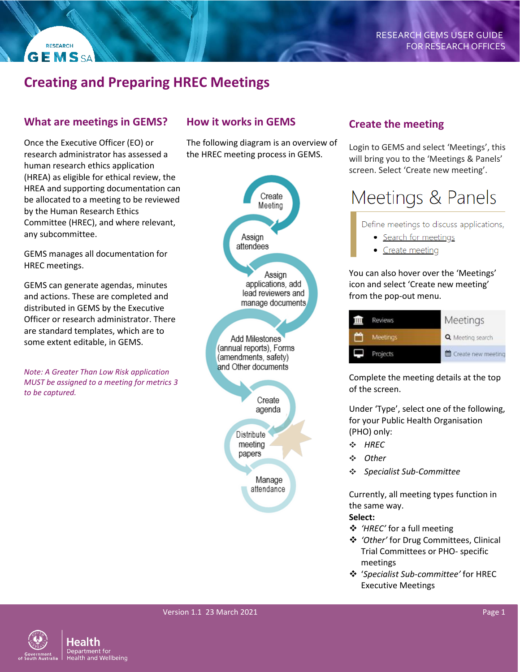# **Creating and Preparing HREC Meetings**

### **What are meetings in GEMS?**

**RESEARCH GEMSSA** 

Once the Executive Officer (EO) or research administrator has assessed a human research ethics application (HREA) as eligible for ethical review, the HREA and supporting documentation can be allocated to a meeting to be reviewed by the Human Research Ethics Committee (HREC), and where relevant, any subcommittee.

GEMS manages all documentation for HREC meetings.

GEMS can generate agendas, minutes and actions. These are completed and distributed in GEMS by the Executive Officer or research administrator. There are standard templates, which are to some extent editable, in GEMS.

*Note: A Greater Than Low Risk application MUST be assigned to a meeting for metrics 3 to be captured.*

## **How it works in GEMS**

The following diagram is an overview of the HREC meeting process in GEMS.



### **Create the meeting**

Login to GEMS and select 'Meetings', this will bring you to the 'Meetings & Panels' screen. Select 'Create new meeting'.

# Meetings & Panels

Define meetings to discuss applications,

- Search for meetings
- Create meeting

You can also hover over the 'Meetings' icon and select 'Create new meeting' from the pop-out menu.

| <b>Reviews</b> | Meetings           |
|----------------|--------------------|
| Meetings       | Q Meeting search   |
| Projects       | Create new meeting |

Complete the meeting details at the top of the screen.

Under 'Type', select one of the following, for your Public Health Organisation (PHO) only:

- ❖ *HREC*
- ❖ *Other*
- ❖ *Specialist Sub-Committee*

Currently, all meeting types function in the same way.

### **Select:**

- *'HREC'* for a full meeting
- *'Other'* for Drug Committees, Clinical Trial Committees or PHO- specific meetings
- '*Specialist Sub-committee'* for HREC Executive Meetings

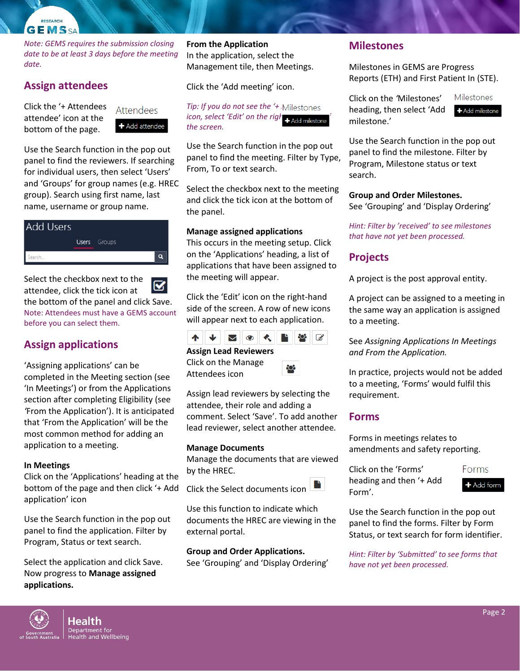#### RESEARCH **GEMSSA**

*Note: GEMS requires the submission closing date to be at least 3 days before the meeting date.*

### **Assign attendees**

Click the '+ Attendees attendee' icon at the bottom of the page.

Attendees + Add attendee

Use the Search function in the pop out panel to find the reviewers. If searching for individual users, then select 'Users' and 'Groups' for group names (e.g. HREC group). Search using first name, last name, username or group name.



Select the checkbox next to the у attendee, click the tick icon at the bottom of the panel and click Save. Note: Attendees must have a GEMS account before you can select them.

# **Assign applications**

'Assigning applications' can be completed in the Meeting section (see 'In Meetings') or from the Applications section after completing Eligibility (see *'*From the Application'). It is anticipated that 'From the Application' will be the most common method for adding an application to a meeting.

### **In Meetings**

Click on the 'Applications' heading at the bottom of the page and then click '+ Add application' icon

Use the Search function in the pop out panel to find the application. Filter by Program, Status or text search.

Select the application and click Save. Now progress to **Manage assigned applications.**

**From the Application** In the application, select the Management tile, then Meetings.

Click the 'Add meeting' icon.

*Tip: If you do not see the '+ Milestones icon, select 'Edit' on the right*-hand milestone *the screen.*

Use the Search function in the pop out panel to find the meeting. Filter by Type, From, To or text search.

Select the checkbox next to the meeting and click the tick icon at the bottom of the panel.

#### **Manage assigned applications**

This occurs in the meeting setup. Click on the 'Applications' heading, a list of applications that have been assigned to the meeting will appear.

Click the 'Edit' icon on the right-hand side of the screen. A row of new icons will appear next to each application.



#### **Assign Lead Reviewers** Click on the Manage

Attendees icon

Assign lead reviewers by selecting the attendee, their role and adding a

comment. Select 'Save'. To add another lead reviewer, select another attendee*.*

#### **Manage Documents**

Manage the documents that are viewed by the HREC.

Click the Select documents icon

Use this function to indicate which documents the HREC are viewing in the external portal.

**Group and Order Applications.**

See 'Grouping' and 'Display Ordering'

### **Milestones**

Milestones in GEMS are Progress Reports (ETH) and First Patient In (STE).

Click on the *'*Milestones' heading, then select 'Add milestone.'

Milestones + Add milestone

Use the Search function in the pop out panel to find the milestone. Filter by Program, Milestone status or text search.

#### **Group and Order Milestones.**

See 'Grouping' and 'Display Ordering'

*Hint: Filter by 'received' to see milestones that have not yet been processed.*

### **Projects**

A project is the post approval entity.

A project can be assigned to a meeting in the same way an application is assigned to a meeting.

See *Assigning Applications In Meetings and From the Application.*

In practice, projects would not be added to a meeting, 'Forms' would fulfil this requirement.

### **Forms**

Forms in meetings relates to amendments and safety reporting.

Click on the 'Forms' heading and then '+ Add Form'.

Add form

Use the Search function in the pop out panel to find the forms. Filter by Form Status, or text search for form identifier.

*Hint: Filter by 'Submitted' to see forms that have not yet been processed.* 



Forms

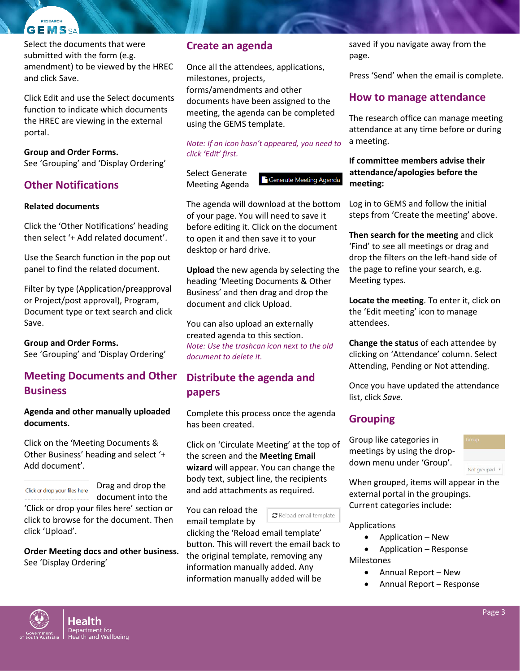#### RESEARCH **GEMSSA**

Select the documents that were submitted with the form (e.g. amendment) to be viewed by the HREC and click Save.

Click Edit and use the Select documents function to indicate which documents the HREC are viewing in the external portal.

### **Group and Order Forms.**

See 'Grouping' and 'Display Ordering'

# **Other Notifications**

### **Related documents**

Click the 'Other Notifications' heading then select '+ Add related document'.

Use the Search function in the pop out panel to find the related document.

Filter by type (Application/preapproval or Project/post approval), Program, Document type or text search and click Save.

**Group and Order Forms.**  See 'Grouping' and 'Display Ordering'

# **Meeting Documents and Other Business**

### **Agenda and other manually uploaded documents.**

Click on the 'Meeting Documents & Other Business' heading and select '+ Add document'*.*

### Click or drop your files here

Drag and drop the document into the

'Click or drop your files here' section or click to browse for the document. Then click 'Upload'.

**Order Meeting docs and other business.**  See 'Display Ordering'

## **Create an agenda**

Once all the attendees, applications, milestones, projects, forms/amendments and other documents have been assigned to the meeting, the agenda can be completed using the GEMS template.

### *Note: If an icon hasn't appeared, you need to click 'Edit' first.*

Select Generate Meeting Agenda

Generate Meeting Agenda

The agenda will download at the bottom of your page. You will need to save it before editing it. Click on the document to open it and then save it to your desktop or hard drive.

**Upload** the new agenda by selecting the heading 'Meeting Documents & Other Business' and then drag and drop the document and click Upload.

You can also upload an externally created agenda to this section. *Note: Use the trashcan icon next to the old document to delete it.*

# **Distribute the agenda and papers**

Complete this process once the agenda has been created.

Click on 'Circulate Meeting' at the top of the screen and the **Meeting Email wizard** will appear. You can change the body text, subject line, the recipients and add attachments as required.

You can reload the email template by

C Reload email template

clicking the 'Reload email template' button. This will revert the email back to the original template, removing any information manually added. Any information manually added will be

saved if you navigate away from the page.

Press 'Send' when the email is complete*.* 

# **How to manage attendance**

The research office can manage meeting attendance at any time before or during a meeting.

### **If committee members advise their attendance/apologies before the meeting:**

Log in to GEMS and follow the initial steps from 'Create the meeting' above.

**Then search for the meeting** and click 'Find' to see all meetings or drag and drop the filters on the left-hand side of the page to refine your search, e.g. Meeting types.

**Locate the meeting**. To enter it, click on the 'Edit meeting' icon to manage attendees.

**Change the status** of each attendee by clicking on 'Attendance' column. Select Attending, Pending or Not attending.

Once you have updated the attendance list, click *Save.* 

# **Grouping**

Group like categories in meetings by using the dropdown menu under 'Group'.



When grouped, items will appear in the external portal in the groupings. Current categories include:

### Applications

- Application New
- Application Response Milestones

Annual Report – New

Annual Report – Response